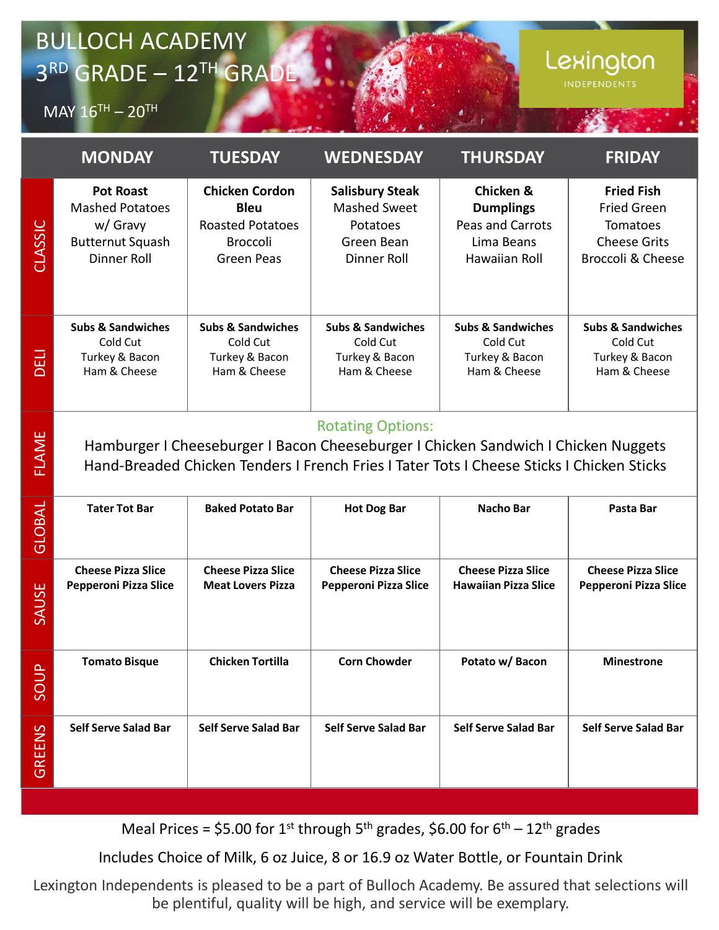## BULLOCH ACADEMY 3 RD GRADE – 12TH GRADE

 $MAY 16^{TH} - 20^{TH}$ 

|                   | <b>MONDAY</b>                                                                                                                                                                                               | <b>TUESDAY</b>                                                                                          | <b>WEDNESDAY</b>                                                                       | <b>THURSDAY</b>                                                                  | <b>FRIDAY</b>                                                                                              |  |  |  |
|-------------------|-------------------------------------------------------------------------------------------------------------------------------------------------------------------------------------------------------------|---------------------------------------------------------------------------------------------------------|----------------------------------------------------------------------------------------|----------------------------------------------------------------------------------|------------------------------------------------------------------------------------------------------------|--|--|--|
| CLASSIC           | <b>Pot Roast</b><br><b>Mashed Potatoes</b><br>w/ Gravy<br><b>Butternut Squash</b><br><b>Dinner Roll</b>                                                                                                     | <b>Chicken Cordon</b><br><b>Bleu</b><br><b>Roasted Potatoes</b><br><b>Broccoli</b><br><b>Green Peas</b> | <b>Salisbury Steak</b><br><b>Mashed Sweet</b><br>Potatoes<br>Green Bean<br>Dinner Roll | Chicken &<br><b>Dumplings</b><br>Peas and Carrots<br>Lima Beans<br>Hawaiian Roll | <b>Fried Fish</b><br><b>Fried Green</b><br>Tomatoes<br><b>Cheese Grits</b><br><b>Broccoli &amp; Cheese</b> |  |  |  |
| 급<br>$\Box$       | <b>Subs &amp; Sandwiches</b><br>Cold Cut<br>Turkey & Bacon<br>Ham & Cheese                                                                                                                                  | <b>Subs &amp; Sandwiches</b><br>Cold Cut<br>Turkey & Bacon<br>Ham & Cheese                              | <b>Subs &amp; Sandwiches</b><br>Cold Cut<br>Turkey & Bacon<br>Ham & Cheese             | <b>Subs &amp; Sandwiches</b><br>Cold Cut<br>Turkey & Bacon<br>Ham & Cheese       | <b>Subs &amp; Sandwiches</b><br>Cold Cut<br>Turkey & Bacon<br>Ham & Cheese                                 |  |  |  |
| <b>FLAME</b>      | <b>Rotating Options:</b><br>Hamburger I Cheeseburger I Bacon Cheeseburger I Chicken Sandwich I Chicken Nuggets<br>Hand-Breaded Chicken Tenders I French Fries I Tater Tots I Cheese Sticks I Chicken Sticks |                                                                                                         |                                                                                        |                                                                                  |                                                                                                            |  |  |  |
| GLOBAL            | <b>Tater Tot Bar</b>                                                                                                                                                                                        | <b>Baked Potato Bar</b>                                                                                 | <b>Hot Dog Bar</b>                                                                     | <b>Nacho Bar</b>                                                                 | Pasta Bar                                                                                                  |  |  |  |
| ш<br><b>SAUSE</b> | <b>Cheese Pizza Slice</b><br><b>Pepperoni Pizza Slice</b>                                                                                                                                                   | <b>Cheese Pizza Slice</b><br><b>Meat Lovers Pizza</b>                                                   | <b>Cheese Pizza Slice</b><br><b>Pepperoni Pizza Slice</b>                              | <b>Cheese Pizza Slice</b><br><b>Hawaiian Pizza Slice</b>                         | <b>Cheese Pizza Slice</b><br><b>Pepperoni Pizza Slice</b>                                                  |  |  |  |
| <b>SOUP</b>       | <b>Tomato Bisque</b>                                                                                                                                                                                        | <b>Chicken Tortilla</b>                                                                                 | <b>Corn Chowder</b>                                                                    | Potato w/Bacon                                                                   | <b>Minestrone</b>                                                                                          |  |  |  |
| <b>EENS</b><br>GR | <b>Self Serve Salad Bar</b>                                                                                                                                                                                 | Self Serve Salad Bar                                                                                    | <b>Self Serve Salad Bar</b>                                                            | <b>Self Serve Salad Bar</b>                                                      | Self Serve Salad Bar                                                                                       |  |  |  |

Meal Prices = \$5.00 for 1<sup>st</sup> through 5<sup>th</sup> grades, \$6.00 for  $6<sup>th</sup> - 12<sup>th</sup>$  grades

Includes Choice of Milk, 6 oz Juice, 8 or 16.9 oz Water Bottle, or Fountain Drink

Lexington Independents is pleased to be a part of Bulloch Academy. Be assured that selections will be plentiful, quality will be high, and service will be exemplary.